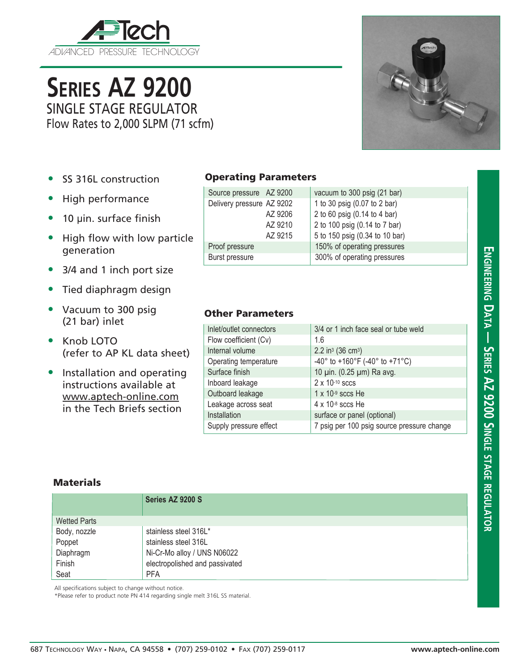

**Series AZ 9200** SINGLE STAGE REGULATOR

Flow Rates to 2,000 SLPM (71 scfm)



- SS 316L construction
- High performance
- 10 µin. surface finish
- High flow with low particle generation
- 3/4 and 1 inch port size
- Tied diaphragm design
- Vacuum to 300 psig (21 bar) inlet
- Knob LOTO (refer to AP KL data sheet)
- Installation and operating instructions available at www.aptech-online.com in the Tech Briefs section

| Source pressure AZ 9200   | vacuum to 300 psig (21 bar)    |
|---------------------------|--------------------------------|
| Delivery pressure AZ 9202 | 1 to 30 psig (0.07 to 2 bar)   |
| AZ 9206                   | 2 to 60 psig (0.14 to 4 bar)   |
| AZ 9210                   | 2 to 100 psig (0.14 to 7 bar)  |
| AZ 9215                   | 5 to 150 psig (0.34 to 10 bar) |
| Proof pressure            | 150% of operating pressures    |
| Burst pressure            | 300% of operating pressures    |

## Other Parameters

| SS 316L construction                               | <b>Operating Parameters</b>            |                         |                                                 |                                                                                                                              |  |  |
|----------------------------------------------------|----------------------------------------|-------------------------|-------------------------------------------------|------------------------------------------------------------------------------------------------------------------------------|--|--|
| High performance<br>10 µin. surface finish         |                                        | Source pressure AZ 9200 | Delivery pressure AZ 9202<br>AZ 9206<br>AZ 9210 | vacuum to 300 psig (21 bar)<br>1 to 30 psig (0.07 to 2 bar)<br>2 to 60 psig (0.14 to 4 bar)<br>2 to 100 psig (0.14 to 7 bar) |  |  |
|                                                    |                                        |                         |                                                 |                                                                                                                              |  |  |
| High flow with low particle                        |                                        |                         | AZ 9215                                         | 5 to 150 psig (0.34 to 10 bar)                                                                                               |  |  |
| generation                                         |                                        | Proof pressure          |                                                 | 150% of operating pressures                                                                                                  |  |  |
|                                                    |                                        | Burst pressure          |                                                 | 300% of operating pressures                                                                                                  |  |  |
| 3/4 and 1 inch port size                           |                                        |                         |                                                 |                                                                                                                              |  |  |
| Tied diaphragm design                              |                                        |                         |                                                 |                                                                                                                              |  |  |
| Vacuum to 300 psig<br>(21 bar) inlet               |                                        | <b>Other Parameters</b> |                                                 |                                                                                                                              |  |  |
|                                                    |                                        | Inlet/outlet connectors |                                                 | 3/4 or 1 inch face seal or tube weld                                                                                         |  |  |
| Knob LOTO<br>(refer to AP KL data sheet)           |                                        | Flow coefficient (Cv)   |                                                 | 1.6                                                                                                                          |  |  |
|                                                    |                                        | Internal volume         |                                                 | $2.2$ in <sup>3</sup> (36 cm <sup>3</sup> )                                                                                  |  |  |
| Installation and operating                         |                                        | Operating temperature   |                                                 | $-40^{\circ}$ to $+160^{\circ}$ F ( $-40^{\circ}$ to $+71^{\circ}$ C)                                                        |  |  |
|                                                    |                                        | Surface finish          |                                                 | 10 µin. (0.25 µm) Ra avg.                                                                                                    |  |  |
| instructions available at<br>www.aptech-online.com |                                        | Inboard leakage         |                                                 | $2 \times 10^{-10}$ sccs                                                                                                     |  |  |
|                                                    |                                        | Outboard leakage        |                                                 | $1 \times 10^{-9}$ sccs He                                                                                                   |  |  |
| in the Tech Briefs section                         |                                        | Leakage across seat     |                                                 | $4 \times 10^{-8}$ sccs He                                                                                                   |  |  |
|                                                    | Installation<br>Supply pressure effect |                         | surface or panel (optional)                     |                                                                                                                              |  |  |
|                                                    |                                        |                         |                                                 | 7 psig per 100 psig source pressure change                                                                                   |  |  |
| Materials                                          |                                        |                         |                                                 |                                                                                                                              |  |  |
|                                                    | Series AZ 9200 S                       |                         |                                                 |                                                                                                                              |  |  |
|                                                    |                                        |                         |                                                 |                                                                                                                              |  |  |
| <b>Wetted Parts</b>                                |                                        |                         |                                                 |                                                                                                                              |  |  |

## **Materials**

|                     | Series AZ 9200 S               |
|---------------------|--------------------------------|
| <b>Wetted Parts</b> |                                |
| Body, nozzle        | stainless steel 316L*          |
| Poppet              | stainless steel 316L           |
| Diaphragm           | Ni-Cr-Mo alloy / UNS N06022    |
| Finish              | electropolished and passivated |
| Seat                | <b>PFA</b>                     |

All specifications subject to change without notice.

\*Please refer to product note PN 414 regarding single melt 316L SS material.